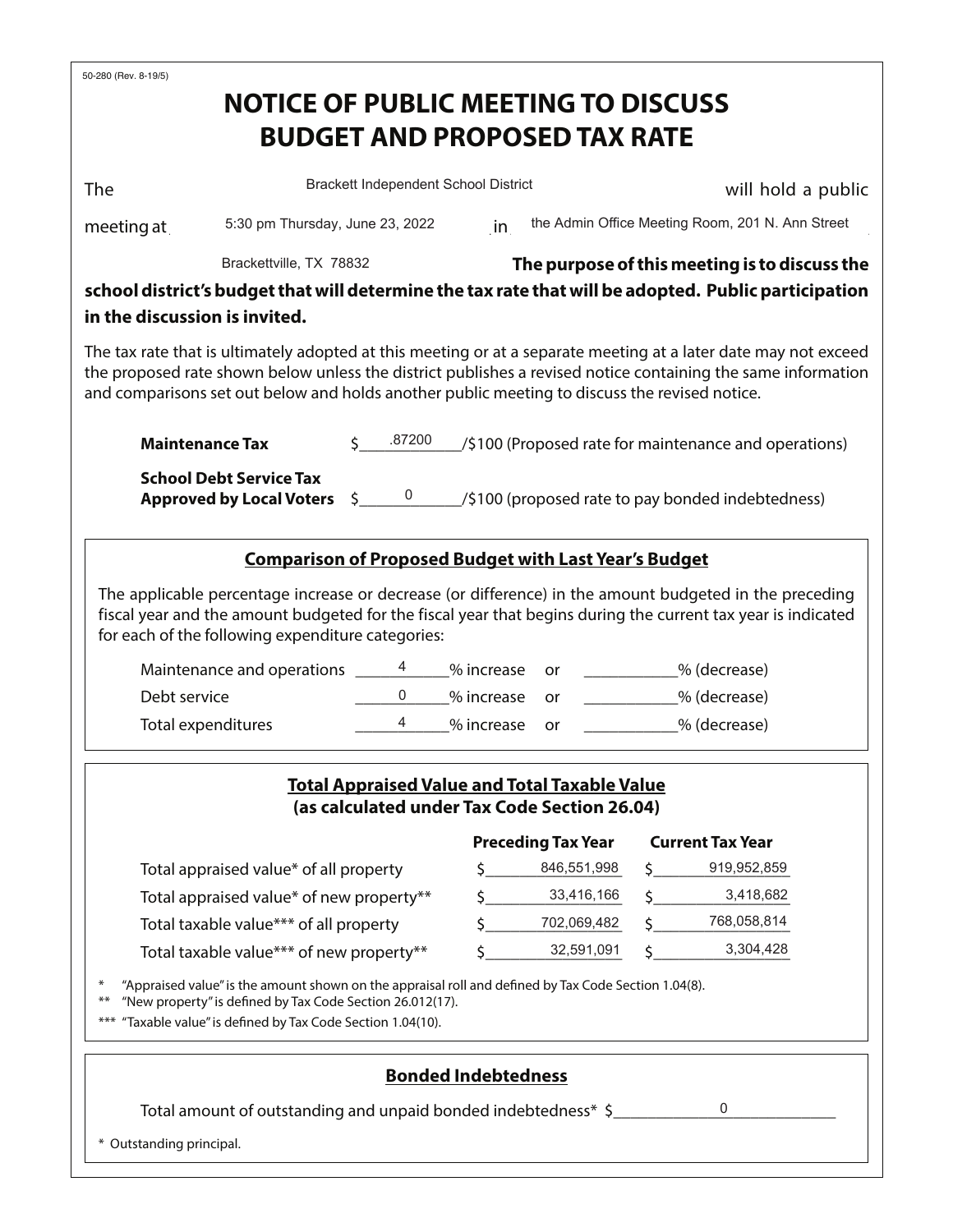| 50-280 (Rev. 8-19/5)                                                                                                                            | <b>NOTICE OF PUBLIC MEETING TO DISCUSS</b>                                                                                                                                                                                        |            |                                               |                                                                                                                                                                                                                                |                           |                                                                                                                                                                                                                                                      |  |  |
|-------------------------------------------------------------------------------------------------------------------------------------------------|-----------------------------------------------------------------------------------------------------------------------------------------------------------------------------------------------------------------------------------|------------|-----------------------------------------------|--------------------------------------------------------------------------------------------------------------------------------------------------------------------------------------------------------------------------------|---------------------------|------------------------------------------------------------------------------------------------------------------------------------------------------------------------------------------------------------------------------------------------------|--|--|
|                                                                                                                                                 |                                                                                                                                                                                                                                   |            |                                               | <b>BUDGET AND PROPOSED TAX RATE</b>                                                                                                                                                                                            |                           |                                                                                                                                                                                                                                                      |  |  |
|                                                                                                                                                 |                                                                                                                                                                                                                                   |            |                                               |                                                                                                                                                                                                                                |                           |                                                                                                                                                                                                                                                      |  |  |
| <b>The</b>                                                                                                                                      |                                                                                                                                                                                                                                   |            | Brackett Independent School District          |                                                                                                                                                                                                                                |                           | will hold a public                                                                                                                                                                                                                                   |  |  |
| meeting at $\_$                                                                                                                                 | 5:30 pm Thursday, June 23, 2022                                                                                                                                                                                                   |            |                                               | in the Admin Office Meeting Room, 201 N. Ann Street                                                                                                                                                                            |                           |                                                                                                                                                                                                                                                      |  |  |
| Brackettville, TX 78832                                                                                                                         |                                                                                                                                                                                                                                   |            | The purpose of this meeting is to discuss the |                                                                                                                                                                                                                                |                           |                                                                                                                                                                                                                                                      |  |  |
|                                                                                                                                                 |                                                                                                                                                                                                                                   |            |                                               |                                                                                                                                                                                                                                |                           | school district's budget that will determine the tax rate that will be adopted. Public participation                                                                                                                                                 |  |  |
| in the discussion is invited.                                                                                                                   |                                                                                                                                                                                                                                   |            |                                               |                                                                                                                                                                                                                                |                           |                                                                                                                                                                                                                                                      |  |  |
|                                                                                                                                                 | and comparisons set out below and holds another public meeting to discuss the revised notice.                                                                                                                                     |            |                                               |                                                                                                                                                                                                                                |                           | The tax rate that is ultimately adopted at this meeting or at a separate meeting at a later date may not exceed<br>the proposed rate shown below unless the district publishes a revised notice containing the same information                      |  |  |
| <b>Maintenance Tax</b>                                                                                                                          |                                                                                                                                                                                                                                   | 5.87200    |                                               |                                                                                                                                                                                                                                |                           | $\angle$ /\$100 (Proposed rate for maintenance and operations)                                                                                                                                                                                       |  |  |
| <b>School Debt Service Tax</b><br><b>Approved by Local Voters</b> $\frac{5}{2}$ $\frac{0}{2}$ /\$100 (proposed rate to pay bonded indebtedness) |                                                                                                                                                                                                                                   |            |                                               |                                                                                                                                                                                                                                |                           |                                                                                                                                                                                                                                                      |  |  |
|                                                                                                                                                 |                                                                                                                                                                                                                                   |            |                                               | <b>Comparison of Proposed Budget with Last Year's Budget</b>                                                                                                                                                                   |                           |                                                                                                                                                                                                                                                      |  |  |
|                                                                                                                                                 | for each of the following expenditure categories:<br>Maintenance and operations _______4 ____% increase                                                                                                                           |            |                                               | or and the original original original results. The context of the context of the context of the context of the context of the context of the context of the context of the context of the context of the context of the contex |                           | The applicable percentage increase or decrease (or difference) in the amount budgeted in the preceding<br>fiscal year and the amount budgeted for the fiscal year that begins during the current tax year is indicated<br>$\frac{1}{2}$ % (decrease) |  |  |
| Debt service                                                                                                                                    |                                                                                                                                                                                                                                   | 0          | % increase                                    | or and the original original original original in the context of the context of the context of the context of the context of the context of the context of the context of the context of the context of the context of the con | _____________% (decrease) |                                                                                                                                                                                                                                                      |  |  |
| Total expenditures                                                                                                                              | $\overline{4}$                                                                                                                                                                                                                    | % increase | <b>or</b>                                     | <sup>2</sup> % (decrease)                                                                                                                                                                                                      |                           |                                                                                                                                                                                                                                                      |  |  |
|                                                                                                                                                 |                                                                                                                                                                                                                                   |            |                                               | <b>Total Appraised Value and Total Taxable Value</b><br>(as calculated under Tax Code Section 26.04)<br><b>Preceding Tax Year</b>                                                                                              |                           | <b>Current Tax Year</b>                                                                                                                                                                                                                              |  |  |
|                                                                                                                                                 |                                                                                                                                                                                                                                   |            |                                               | \$ 846,551,998                                                                                                                                                                                                                 |                           | 919,952,859                                                                                                                                                                                                                                          |  |  |
|                                                                                                                                                 | Total appraised value* of all property<br>Total appraised value* of new property**                                                                                                                                                |            |                                               | $\zeta$ 33,416,166                                                                                                                                                                                                             | Ŝ.                        | 3,418,682                                                                                                                                                                                                                                            |  |  |
| Total taxable value*** of all property                                                                                                          |                                                                                                                                                                                                                                   |            |                                               | \$702,069,482                                                                                                                                                                                                                  |                           | 768,058,814                                                                                                                                                                                                                                          |  |  |
| Total taxable value*** of new property**                                                                                                        |                                                                                                                                                                                                                                   |            |                                               | 32,591,091                                                                                                                                                                                                                     |                           | 3,304,428                                                                                                                                                                                                                                            |  |  |
| ⋇<br>$***$                                                                                                                                      | "Appraised value" is the amount shown on the appraisal roll and defined by Tax Code Section 1.04(8).<br>"New property" is defined by Tax Code Section 26.012(17).<br>*** "Taxable value" is defined by Tax Code Section 1.04(10). |            |                                               |                                                                                                                                                                                                                                |                           |                                                                                                                                                                                                                                                      |  |  |
| * Outstanding principal.                                                                                                                        | Total amount of outstanding and unpaid bonded indebtedness* \$                                                                                                                                                                    |            | <b>Bonded Indebtedness</b>                    |                                                                                                                                                                                                                                |                           | 0                                                                                                                                                                                                                                                    |  |  |